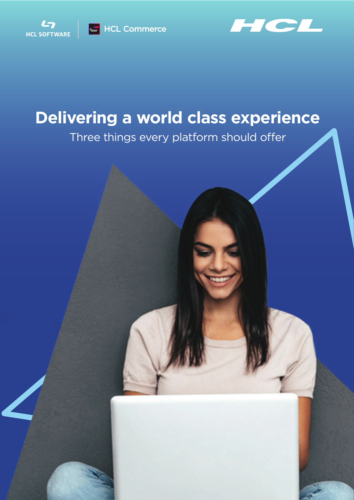





# **Delivering a world class experience**

Three things every platform should offer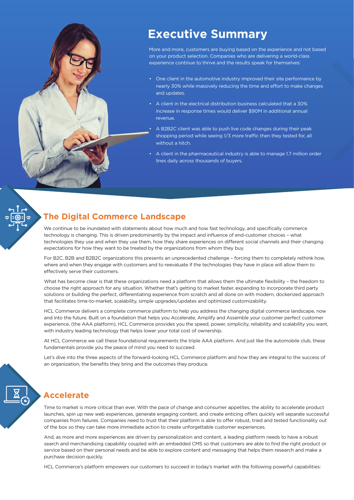

## **Executive Summary**

More and more, customers are buying based on the experience and not based on your product selection. Companies who are delivering a world-class experience continue to thrive and the results speak for themselves:

- One client in the automotive industry improved their site performance by nearly 30% while massively reducing the time and effort to make changes and updates.
- A client in the electrical distribution business calculated that a 30% increase in response times would deliver \$90M in additional annual revenue.
- A B2B2C client was able to push live code changes during their peak shopping period while seeing 1/3 more traffic then they tested for, all without a hitch.
- A client in the pharmaceutical industry is able to manage 1.7 million order lines daily across thousands of buyers.

## **The Digital Commerce Landscape**

We continue to be inundated with statements about how much and how fast technology, and specifically commerce technology is changing. This is driven predominantly by the impact and influence of end-customer choices – what technologies they use and when they use them, how they share experiences on different social channels and their changing expectations for how they want to be treated by the organizations from whom they buy.

For B2C, B2B and B2B2C organizations this presents an unprecedented challenge – forcing them to completely rethink how, where and when they engage with customers and to reevaluate if the technologies they have in place will allow them to effectively serve their customers.

What has become clear is that these organizations need a platform that allows them the ultimate flexibility – the freedom to choose the right approach for any situation. Whether that's getting to market faster, expanding to incorporate third party solutions or building the perfect, differentiating experience from scratch and all done on with modern, dockerized approach that facilitates time-to-market, scalability, simple upgrades/updates and optimized customizability.

HCL Commerce delivers a complete commerce platform to help you address the changing digital commerce landscape, now and into the future. Built on a foundation that helps you Accelerate, Amplify and Assemble your customer perfect customer experience, (the AAA platform), HCL Commerce provides you the speed, power, simplicity, reliability and scalability you want, with industry leading technology that helps lower your total cost of ownership.

At HCL Commerce we call these foundational requirements the triple AAA platform. And just like the automobile club, these fundamentals provide you the peace of mind you need to succeed.

Let's dive into the three aspects of the forward-looking HCL Commerce platform and how they are integral to the success of an organization, the benefits they bring and the outcomes they produce.

## **Accelerate**

Time to market is more critical than ever. With the pace of change and consumer appetites, the ability to accelerate product launches, spin up new web experiences, generate engaging content, and create enticing offers quickly will separate successful companies from failures. Companies need to trust that their platform is able to offer robust, tried and tested functionality out of the box so they can take more immediate action to create unforgettable customer experiences.

And, as more and more experiences are driven by personalization and content, a leading platform needs to have a robust search and merchandising capability coupled with an embedded CMS so that customers are able to find the right product or service based on their personal needs and be able to explore content and messaging that helps them research and make a purchase decision quickly.

HCL Commerce's platform empowers our customers to succeed in today's market with the following powerful capabilities: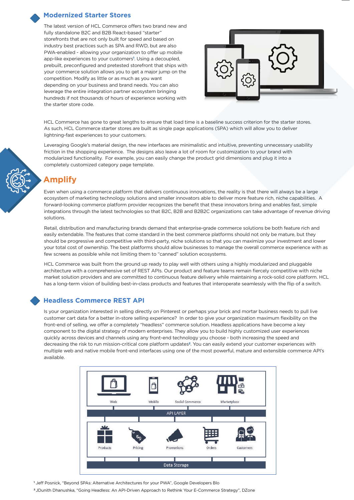## **Modernized Starter Stores**

The latest version of HCL Commerce offers two brand new and fully standalone B2C and B2B React-based "starter" storefronts that are not only built for speed and based on industry best practices such as SPA and RWD, but are also PWA-enabled - allowing your organization to offer up mobile app-like experiences to your customers<sup>1</sup>. Using a decoupled, prebuilt, preconfigured and pretested storefront that ships with your commerce solution allows you to get a major jump on the competition. Modify as little or as much as you want depending on your business and brand needs. You can also leverage the entire integration partner ecosystem bringing hundreds if not thousands of hours of experience working with the starter store code.



HCL Commerce has gone to great lengths to ensure that load time is a baseline success criterion for the starter stores. As such, HCL Commerce starter stores are built as single page applications (SPA) which will allow you to deliver lightning-fast experiences to your customers.

Leveraging Google's material design, the new interfaces are minimalistic and intuitive, preventing unnecessary usability friction in the shopping experience. The designs also leave a lot of room for customization to your brand with modularized functionality. For example, you can easily change the product grid dimensions and plug it into a completely customized category page template.

## **Amplify**

Even when using a commerce platform that delivers continuous innovations, the reality is that there will always be a large ecosystem of marketing technology solutions and smaller innovators able to deliver more feature rich, niche capabilities. A forward-looking commerce platform provider recognizes the benefit that these innovators bring and enables fast, simple integrations through the latest technologies so that B2C, B2B and B2B2C organizations can take advantage of revenue driving solutions.

Retail, distribution and manufacturing brands demand that enterprise-grade commerce solutions be both feature rich and easily extendable. The features that come standard in the best commerce platforms should not only be mature, but they should be progressive and competitive with third-party, niche solutions so that you can maximize your investment and lower your total cost of ownership. The best platforms should allow businesses to manage the overall commerce experience with as few screens as possible while not limiting them to "canned" solution ecosystems.

HCL Commerce was built from the ground up ready to play well with others using a highly modularized and pluggable architecture with a comprehensive set of REST APIs. Our product and feature teams remain fiercely competitive with niche market solution providers and are committed to continuous feature delivery while maintaining a rock-solid core platform. HCL has a long-term vision of building best-in-class products and features that interoperate seamlessly with the flip of a switch.

## **Headless Commerce REST API**

Is your organization interested in selling directly on Pinterest or perhaps your brick and mortar business needs to pull live customer cart data for a better in-store selling experience? In order to give your organization maximum flexibility on the front-end of selling, we offer a completely "headless" commerce solution. Headless applications have become a key component to the digital strategy of modern enterprises. They allow you to build highly customized user experiences quickly across devices and channels using any front-end technology you choose - both increasing the speed and decreasing the risk to run mission-critical core platform updates<sup>2</sup>. You can easily extend your customer experiences with multiple web and native mobile front-end interfaces using one of the most powerful, mature and extensible commerce API's available.



<sup>1</sup> Jeff Posnick, "Beyond SPAs: Alternative Architectures for your PWA", Google Developers Blo

2 JDunith Dhanushka, "Going Headless: An API-Driven Approach to Rethink Your E-Commerce Strategy", DZone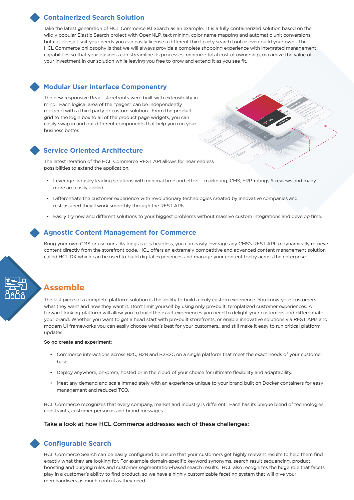## **Containerized Search Solution**

Take the latest generation of HCL Commerce 9.1 Search as an example. It is a fully containerized solution based on the wildly popular Elastic Search project with OpenNLP, text mining, color name mapping and automatic unit conversions, but if it doesn't suit your needs you can easily license a different third-party search tool or even build your own. The HCL Commerce philosophy is that we will always provide a complete shopping experience with integrated management capabilities so that your business can streamline its processes, minimize total cost of ownership, maximize the value of your investment in our solution while leaving you free to grow and extend it as you see fit.

## **Modular User Interface Componentry**

The new responsive React storefronts were built with extensibility in mind. Each logical area of the "pages" can be independently replaced with a third party or custom solution. From the product grid to the login box to all of the product page widgets, you can easily swap in and out different components that help you run your business better.

## **Service Oriented Architecture**

The latest iteration of the HCL Commerce REST API allows for near endless possibilities to extend the application.

- Leverage industry leading solutions with minimal time and effort marketing, CMS, ERP, ratings & reviews and many more are easily added.
- Differentiate the customer experience with revolutionary technologies created by innovative companies and rest-assured they'll work smoothly through the REST APIs.
- Easily try new and different solutions to your biggest problems without massive custom integrations and develop time.

## **Agnostic Content Management for Commerce**

Bring your own CMS or use ours. As long as it is headless, you can easily leverage any CMS's REST API to dynamically retrieve content directly from the storefront code. HCL offers an extremely competitive and advanced content management solution called HCL DX which can be used to build digital experiences and manage your content today across the enterprise.

## **Assemble**

The last piece of a complete platform solution is the ability to build a truly custom experience. You know your customers – what they want and how they want it. Don't limit yourself by using only pre-built, templatized customer experiences. A forward-looking platform will allow you to build the exact experiences you need to delight your customers and differentiate your brand. Whether you want to get a head start with pre-built storefronts, or enable innovative solutions via REST APIs and modern UI frameworks you can easily choose what's best for your customers…and still make it easy to run critical platform updates.

#### So go create and experiment:

- Commerce interactions across B2C, B2B and B2B2C on a single platform that meet the exact needs of your customer base.
- Deploy anywhere, on-prem, hosted or in the cloud of your choice for ultimate flexibility and adaptability.
- Meet any demand and scale immediately with an experience unique to your brand built on Docker containers for easy management and reduced TCO.

HCL Commerce recognizes that every company, market and industry is different. Each has its unique blend of technologies, constraints, customer personas and brand messages.

#### Take a look at how HCL Commerce addresses each of these challenges:

## **Configurable Search**

HCL Commerce Search can be easily configured to ensure that your customers get highly relevant results to help them find exactly what they are looking for. For example domain-specific keyword synonyms, search result sequencing, product boosting and burying rules and customer segmentation-based search results. HCL also recognizes the huge role that facets play in a customer's ability to find product, so we have a highly customizable faceting system that will give your merchandisers as much control as they need.